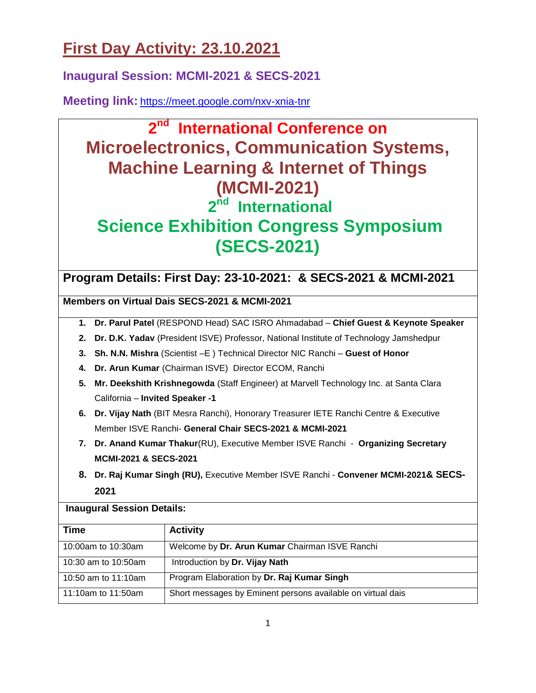# **First Day Activity: 23.10.2021**

**Inaugural Session: MCMI-2021 & SECS-2021**

**Meeting link:** <https://meet.google.com/nxv-xnia-tnr>

# **2 nd International Conference on Microelectronics, Communication Systems, Machine Learning & Internet of Things (MCMI-2021) 2 nd International Science Exhibition Congress Symposium (SECS-2021)**

## **Program Details: First Day: 23-10-2021: & SECS-2021 & MCMI-2021**

**Members on Virtual Dais SECS-2021 & MCMI-2021**

- **1. Dr. Parul Patel** (RESPOND Head) SAC ISRO Ahmadabad **Chief Guest & Keynote Speaker**
- **2. Dr. D.K. Yadav** (President ISVE) Professor, National Institute of Technology Jamshedpur
- **3. Sh. N.N. Mishra** (Scientist –E ) Technical Director NIC Ranchi **Guest of Honor**
- **4. Dr. Arun Kumar** (Chairman ISVE) Director ECOM, Ranchi
- **5. Mr. Deekshith Krishnegowda** (Staff Engineer) at Marvell Technology Inc. at Santa Clara California – **Invited Speaker -1**
- **6. Dr. Vijay Nath** (BIT Mesra Ranchi), Honorary Treasurer IETE Ranchi Centre & Executive Member ISVE Ranchi- **General Chair SECS-2021 & MCMI-2021**
- **7. Dr. Anand Kumar Thakur**(RU), Executive Member ISVE Ranchi **Organizing Secretary MCMI-2021 & SECS-2021**
- **8. Dr. Raj Kumar Singh (RU),** Executive Member ISVE Ranchi **Convener MCMI-2021& SECS-2021**

### **Inaugural Session Details:**

| <b>Time</b>         | <b>Activity</b>                                             |
|---------------------|-------------------------------------------------------------|
| 10:00am to 10:30am  | Welcome by Dr. Arun Kumar Chairman ISVE Ranchi              |
| 10:30 am to 10:50am | Introduction by Dr. Vijay Nath                              |
| 10:50 am to 11:10am | Program Elaboration by Dr. Raj Kumar Singh                  |
| 11:10am to 11:50am  | Short messages by Eminent persons available on virtual dais |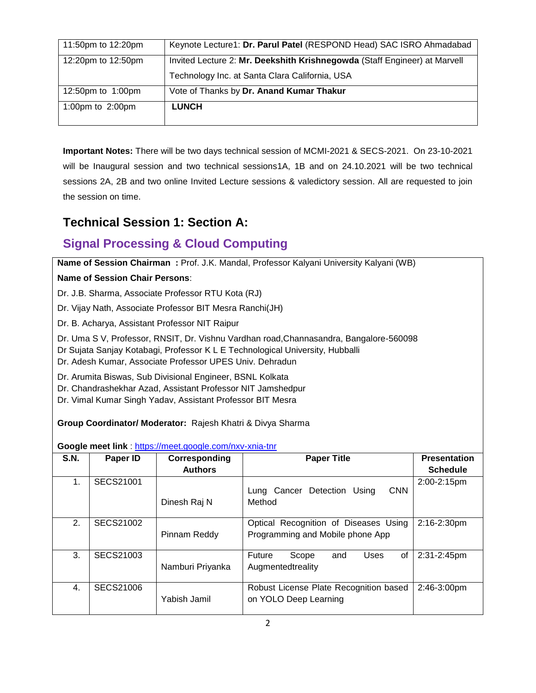| 11:50pm to 12:20pm  | Keynote Lecture1: Dr. Parul Patel (RESPOND Head) SAC ISRO Ahmadabad                                                         |
|---------------------|-----------------------------------------------------------------------------------------------------------------------------|
| 12:20pm to 12:50pm  | Invited Lecture 2: Mr. Deekshith Krishnegowda (Staff Engineer) at Marvell<br>Technology Inc. at Santa Clara California, USA |
| 12:50pm to 1:00pm   | Vote of Thanks by Dr. Anand Kumar Thakur                                                                                    |
| 1:00pm to $2:00$ pm | <b>LUNCH</b>                                                                                                                |
|                     |                                                                                                                             |

**Important Notes:** There will be two days technical session of MCMI-2021 & SECS-2021. On 23-10-2021 will be Inaugural session and two technical sessions1A, 1B and on 24.10.2021 will be two technical sessions 2A, 2B and two online Invited Lecture sessions & valedictory session. All are requested to join the session on time.

## **Technical Session 1: Section A:**

## **Signal Processing & Cloud Computing**

**Name of Session Chairman :** Prof. J.K. Mandal, Professor Kalyani University Kalyani (WB)

### **Name of Session Chair Persons**:

Dr. J.B. Sharma, Associate Professor RTU Kota (RJ)

Dr. Vijay Nath, Associate Professor BIT Mesra Ranchi(JH)

Dr. B. Acharya, Assistant Professor NIT Raipur

Dr. Uma S V, Professor, RNSIT, Dr. Vishnu Vardhan road,Channasandra, Bangalore-560098

Dr Sujata Sanjay Kotabagi, Professor K L E Technological University, Hubballi

Dr. Adesh Kumar, Associate Professor UPES Univ. Dehradun

Dr. Arumita Biswas, Sub Divisional Engineer, BSNL Kolkata

Dr. Chandrashekhar Azad, Assistant Professor NIT Jamshedpur

Dr. Vimal Kumar Singh Yadav, Assistant Professor BIT Mesra

**Group Coordinator/ Moderator:** Rajesh Khatri & Divya Sharma

#### **Google meet link** : <https://meet.google.com/nxv-xnia-tnr>

| <b>S.N.</b> | Paper ID         | Corresponding<br><b>Authors</b> | <b>Paper Title</b>                                                        | <b>Presentation</b><br><b>Schedule</b> |
|-------------|------------------|---------------------------------|---------------------------------------------------------------------------|----------------------------------------|
| 1.          | <b>SECS21001</b> | Dinesh Raj N                    | <b>CNN</b><br>Lung Cancer Detection<br>Usina<br>Method                    | 2:00-2:15pm                            |
| 2.          | SECS21002        | Pinnam Reddy                    | Optical Recognition of Diseases Using<br>Programming and Mobile phone App | $2:16 - 2:30$ pm                       |
| 3.          | SECS21003        | Namburi Priyanka                | Scope<br>of<br>Future<br>and<br>Uses<br>Augmentedtreality                 | 2:31-2:45pm                            |
| 4.          | SECS21006        | Yabish Jamil                    | Robust License Plate Recognition based<br>on YOLO Deep Learning           | 2:46-3:00pm                            |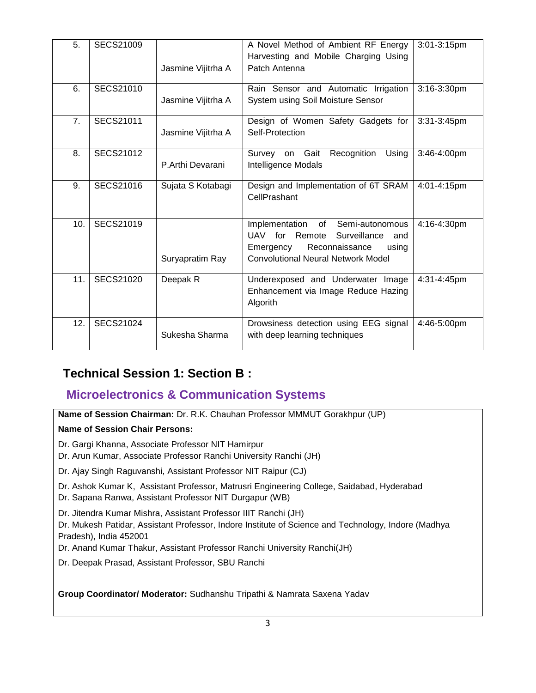| 5.  | <b>SECS21009</b> | Jasmine Vijitrha A | A Novel Method of Ambient RF Energy<br>Harvesting and Mobile Charging Using<br>Patch Antenna                                                                       | 3:01-3:15pm    |
|-----|------------------|--------------------|--------------------------------------------------------------------------------------------------------------------------------------------------------------------|----------------|
| 6.  | SECS21010        | Jasmine Vijitrha A | Rain Sensor and Automatic Irrigation<br>System using Soil Moisture Sensor                                                                                          | 3:16-3:30pm    |
| 7.  | <b>SECS21011</b> | Jasmine Vijitrha A | Design of Women Safety Gadgets for<br>Self-Protection                                                                                                              | $3:31-3:45$ pm |
| 8.  | SECS21012        | P.Arthi Devarani   | Recognition<br>on Gait<br>Using<br>Survey<br>Intelligence Modals                                                                                                   | 3:46-4:00pm    |
| 9.  | SECS21016        | Sujata S Kotabagi  | Design and Implementation of 6T SRAM<br>CellPrashant                                                                                                               | 4:01-4:15pm    |
| 10. | SECS21019        | Suryapratim Ray    | Implementation<br>of<br>Semi-autonomous<br>UAV for Remote<br>Surveillance<br>and<br>Emergency Reconnaissance<br>using<br><b>Convolutional Neural Network Model</b> | 4:16-4:30pm    |
| 11. | SECS21020        | Deepak R           | Underexposed and Underwater Image<br>Enhancement via Image Reduce Hazing<br>Algorith                                                                               | 4:31-4:45pm    |
| 12. | <b>SECS21024</b> | Sukesha Sharma     | Drowsiness detection using EEG signal<br>with deep learning techniques                                                                                             | 4:46-5:00pm    |

## **Technical Session 1: Section B :**

### **Microelectronics & Communication Systems**

**Name of Session Chairman:** Dr. R.K. Chauhan Professor MMMUT Gorakhpur (UP)

### **Name of Session Chair Persons:**

- Dr. Gargi Khanna, Associate Professor NIT Hamirpur
- Dr. Arun Kumar, Associate Professor Ranchi University Ranchi (JH)
- Dr. Ajay Singh Raguvanshi, Assistant Professor NIT Raipur (CJ)
- Dr. Ashok Kumar K, Assistant Professor, Matrusri Engineering College, Saidabad, Hyderabad
- Dr. Sapana Ranwa, Assistant Professor NIT Durgapur (WB)
- Dr. Jitendra Kumar Mishra, Assistant Professor IIIT Ranchi (JH)
- Dr. Mukesh Patidar, Assistant Professor, Indore Institute of Science and Technology, Indore (Madhya Pradesh), India 452001
- Dr. Anand Kumar Thakur, Assistant Professor Ranchi University Ranchi(JH)
- Dr. Deepak Prasad, Assistant Professor, SBU Ranchi

**Group Coordinator/ Moderator:** Sudhanshu Tripathi & Namrata Saxena Yadav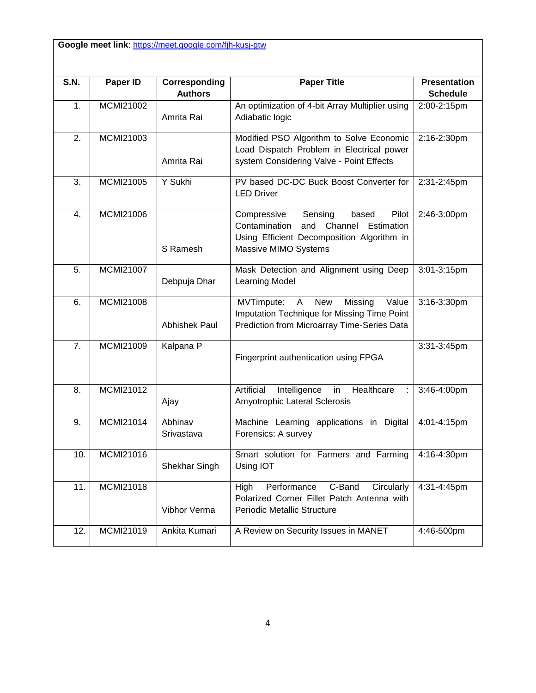Google meet link: <https://meet.google.com/fjh-kusj-gtw>

| <b>S.N.</b>      | <b>Paper ID</b> | Corresponding         | <b>Paper Title</b>                                                                                                                                              | <b>Presentation</b> |
|------------------|-----------------|-----------------------|-----------------------------------------------------------------------------------------------------------------------------------------------------------------|---------------------|
|                  |                 | <b>Authors</b>        |                                                                                                                                                                 | <b>Schedule</b>     |
| 1.               | MCMI21002       | Amrita Rai            | An optimization of 4-bit Array Multiplier using<br>Adiabatic logic                                                                                              | 2:00-2:15pm         |
| $\overline{2}$ . | MCMI21003       | Amrita Rai            | Modified PSO Algorithm to Solve Economic<br>Load Dispatch Problem in Electrical power<br>system Considering Valve - Point Effects                               | 2:16-2:30pm         |
| 3.               | MCMI21005       | Y Sukhi               | PV based DC-DC Buck Boost Converter for<br><b>LED Driver</b>                                                                                                    | 2:31-2:45pm         |
| 4.               | MCMI21006       | S Ramesh              | Sensing<br>Pilot<br>Compressive<br>based<br>Contamination<br>and<br>Channel<br>Estimation<br>Using Efficient Decomposition Algorithm in<br>Massive MIMO Systems | 2:46-3:00pm         |
| 5.               | MCMI21007       | Debpuja Dhar          | Mask Detection and Alignment using Deep<br>Learning Model                                                                                                       | 3:01-3:15pm         |
| 6.               | MCMI21008       | Abhishek Paul         | MVTimpute:<br><b>New</b><br>Missing<br>Value<br>A<br>Imputation Technique for Missing Time Point<br>Prediction from Microarray Time-Series Data                 | 3:16-3:30pm         |
| 7.               | MCMI21009       | Kalpana P             | Fingerprint authentication using FPGA                                                                                                                           | 3:31-3:45pm         |
| 8.               | MCMI21012       | Ajay                  | Artificial<br>Intelligence<br>Healthcare<br>in<br>Amyotrophic Lateral Sclerosis                                                                                 | 3:46-4:00pm         |
| 9.               | MCMI21014       | Abhinav<br>Srivastava | Machine Learning applications in Digital<br>Forensics: A survey                                                                                                 | 4:01-4:15pm         |
| 10.              | MCMI21016       | Shekhar Singh         | Smart solution for Farmers and Farming<br>Using IOT                                                                                                             | 4:16-4:30pm         |
| 11.              | MCMI21018       | Vibhor Verma          | C-Band<br>High<br>Performance<br>Circularly<br>Polarized Corner Fillet Patch Antenna with<br><b>Periodic Metallic Structure</b>                                 | 4:31-4:45pm         |
| 12.              | MCMI21019       | Ankita Kumari         | A Review on Security Issues in MANET                                                                                                                            | 4:46-500pm          |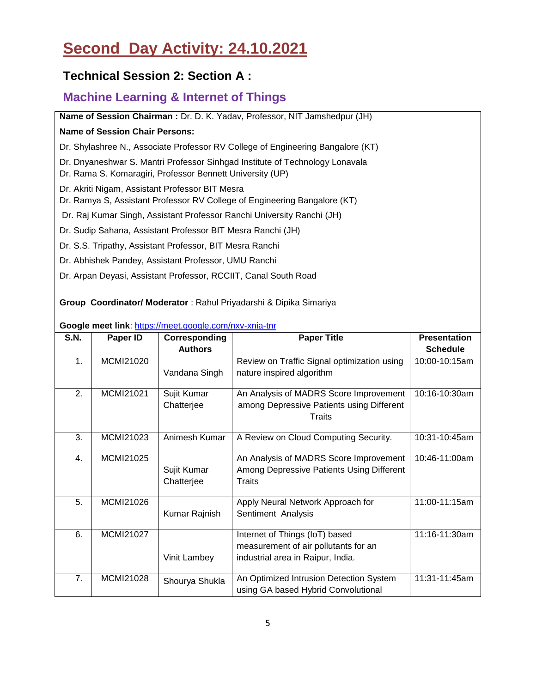## **Second Day Activity: 24.10.2021**

## **Technical Session 2: Section A :**

### **Machine Learning & Internet of Things**

**Name of Session Chairman :** Dr. D. K. Yadav, Professor, NIT Jamshedpur (JH)

#### **Name of Session Chair Persons:**

Dr. Shylashree N., Associate Professor RV College of Engineering Bangalore (KT)

Dr. Dnyaneshwar S. Mantri Professor Sinhgad Institute of Technology Lonavala

- Dr. Rama S. Komaragiri, Professor Bennett University (UP)
- Dr. Akriti Nigam, Assistant Professor BIT Mesra
- Dr. Ramya S, Assistant Professor RV College of Engineering Bangalore (KT)

Dr. Raj Kumar Singh, Assistant Professor Ranchi University Ranchi (JH)

- Dr. Sudip Sahana, Assistant Professor BIT Mesra Ranchi (JH)
- Dr. S.S. Tripathy, Assistant Professor, BIT Mesra Ranchi
- Dr. Abhishek Pandey, Assistant Professor, UMU Ranchi
- Dr. Arpan Deyasi, Assistant Professor, RCCIIT, Canal South Road

**Group Coordinator/ Moderator** : Rahul Priyadarshi & Dipika Simariya

| S.N. | Paper ID  | Corresponding  | <b>Paper Title</b>                          | <b>Presentation</b> |
|------|-----------|----------------|---------------------------------------------|---------------------|
|      |           | <b>Authors</b> |                                             | <b>Schedule</b>     |
| 1.   | MCMI21020 |                | Review on Traffic Signal optimization using | 10:00-10:15am       |
|      |           | Vandana Singh  | nature inspired algorithm                   |                     |
| 2.   | MCMI21021 | Sujit Kumar    | An Analysis of MADRS Score Improvement      | 10:16-10:30am       |
|      |           | Chatterjee     | among Depressive Patients using Different   |                     |
|      |           |                | Traits                                      |                     |
| 3.   | MCMI21023 | Animesh Kumar  | A Review on Cloud Computing Security.       | 10:31-10:45am       |
| 4.   | MCMI21025 |                | An Analysis of MADRS Score Improvement      | 10:46-11:00am       |
|      |           | Sujit Kumar    | Among Depressive Patients Using Different   |                     |
|      |           | Chatterjee     | Traits                                      |                     |
| 5.   | MCMI21026 |                | Apply Neural Network Approach for           | 11:00-11:15am       |
|      |           | Kumar Rajnish  | Sentiment Analysis                          |                     |
| 6.   | MCMI21027 |                | Internet of Things (IoT) based              | 11:16-11:30am       |
|      |           |                | measurement of air pollutants for an        |                     |
|      |           | Vinit Lambey   | industrial area in Raipur, India.           |                     |
| 7.   | MCMI21028 | Shourya Shukla | An Optimized Intrusion Detection System     | 11:31-11:45am       |
|      |           |                | using GA based Hybrid Convolutional         |                     |

**Google meet link**: <https://meet.google.com/nxv-xnia-tnr>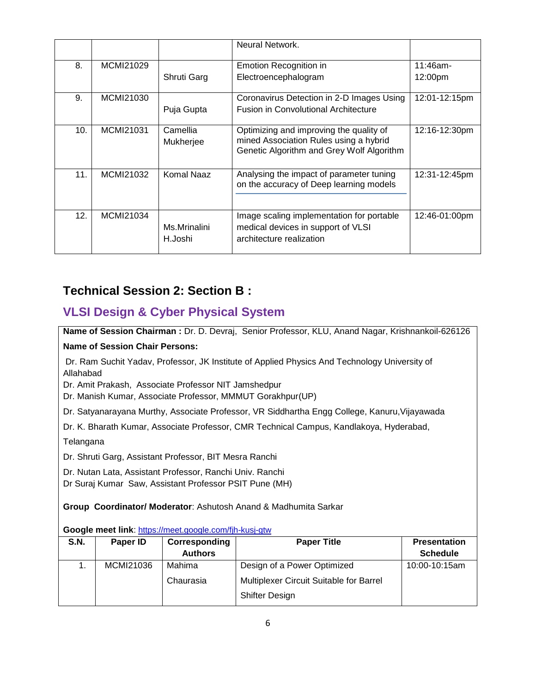|     |           |                         | Neural Network.                                                                                                                |               |
|-----|-----------|-------------------------|--------------------------------------------------------------------------------------------------------------------------------|---------------|
| 8.  | MCMI21029 |                         | Emotion Recognition in                                                                                                         | $11:46$ am-   |
|     |           | Shruti Garg             | Electroencephalogram                                                                                                           | 12:00pm       |
| 9.  | MCMI21030 |                         | Coronavirus Detection in 2-D Images Using                                                                                      | 12:01-12:15pm |
|     |           | Puja Gupta              | <b>Fusion in Convolutional Architecture</b>                                                                                    |               |
| 10. | MCMI21031 | Camellia<br>Mukherjee   | Optimizing and improving the quality of<br>mined Association Rules using a hybrid<br>Genetic Algorithm and Grey Wolf Algorithm | 12:16-12:30pm |
| 11. | MCMI21032 | Komal Naaz              | Analysing the impact of parameter tuning<br>on the accuracy of Deep learning models                                            | 12:31-12:45pm |
| 12. | MCMI21034 | Ms.Mrinalini<br>H.Joshi | Image scaling implementation for portable<br>medical devices in support of VLSI<br>architecture realization                    | 12:46-01:00pm |

## **Technical Session 2: Section B :**

### **VLSI Design & Cyber Physical System**

**Name of Session Chairman :** Dr. D. Devraj, Senior Professor, KLU, Anand Nagar, Krishnankoil-626126 **Name of Session Chair Persons:**

Dr. Ram Suchit Yadav, Professor, JK Institute of Applied Physics And Technology University of Allahabad

Dr. Amit Prakash, Associate Professor NIT Jamshedpur

Dr. Manish Kumar, Associate Professor, MMMUT Gorakhpur(UP)

Dr. Satyanarayana Murthy, Associate Professor, VR Siddhartha Engg College, Kanuru,Vijayawada

Dr. K. Bharath Kumar, Associate Professor, CMR Technical Campus, Kandlakoya, Hyderabad,

**Telangana** 

Dr. Shruti Garg, Assistant Professor, BIT Mesra Ranchi

Dr. Nutan Lata, Assistant Professor, Ranchi Univ. Ranchi

Dr Suraj Kumar Saw, Assistant Professor PSIT Pune (MH)

**Group Coordinator/ Moderator**: Ashutosh Anand & Madhumita Sarkar

#### **Google meet link**: <https://meet.google.com/fjh-kusj-gtw>

| S.N. | Paper ID  | Corresponding  | <b>Paper Title</b>                      | <b>Presentation</b> |
|------|-----------|----------------|-----------------------------------------|---------------------|
|      |           | <b>Authors</b> |                                         | <b>Schedule</b>     |
|      | MCMI21036 | Mahima         | Design of a Power Optimized             | 10:00-10:15am       |
|      |           | Chaurasia      | Multiplexer Circuit Suitable for Barrel |                     |
|      |           |                | <b>Shifter Design</b>                   |                     |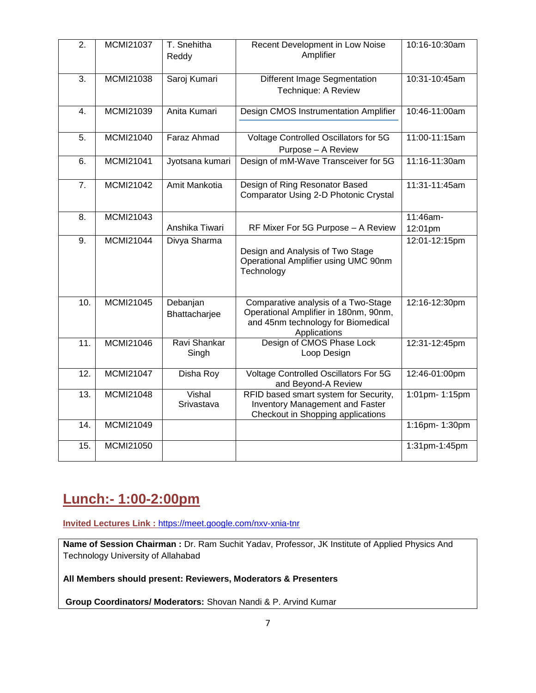| $\overline{2}$ . | <b>MCMI21037</b> | T. Snehitha<br>Reddy      | Recent Development in Low Noise<br>Amplifier                                                                                       | 10:16-10:30am       |
|------------------|------------------|---------------------------|------------------------------------------------------------------------------------------------------------------------------------|---------------------|
| 3.               | <b>MCMI21038</b> | Saroj Kumari              | Different Image Segmentation<br>Technique: A Review                                                                                | 10:31-10:45am       |
| 4.               | MCMI21039        | Anita Kumari              | Design CMOS Instrumentation Amplifier                                                                                              | 10:46-11:00am       |
| 5.               | MCMI21040        | Faraz Ahmad               | Voltage Controlled Oscillators for 5G<br>Purpose - A Review                                                                        | 11:00-11:15am       |
| 6.               | <b>MCMI21041</b> | Jyotsana kumari           | Design of mM-Wave Transceiver for 5G                                                                                               | 11:16-11:30am       |
| 7.               | <b>MCMI21042</b> | Amit Mankotia             | Design of Ring Resonator Based<br>Comparator Using 2-D Photonic Crystal                                                            | 11:31-11:45am       |
| 8.               | MCMI21043        | Anshika Tiwari            | RF Mixer For 5G Purpose - A Review                                                                                                 | 11:46am-<br>12:01pm |
| 9.               | MCMI21044        | Divya Sharma              | Design and Analysis of Two Stage<br>Operational Amplifier using UMC 90nm<br>Technology                                             | 12:01-12:15pm       |
| 10.              | MCMI21045        | Debanjan<br>Bhattacharjee | Comparative analysis of a Two-Stage<br>Operational Amplifier in 180nm, 90nm,<br>and 45nm technology for Biomedical<br>Applications | 12:16-12:30pm       |
| 11.              | MCMI21046        | Ravi Shankar<br>Singh     | Design of CMOS Phase Lock<br>Loop Design                                                                                           | 12:31-12:45pm       |
| 12.              | <b>MCMI21047</b> | Disha Roy                 | <b>Voltage Controlled Oscillators For 5G</b><br>and Beyond-A Review                                                                | 12:46-01:00pm       |
| 13.              | <b>MCMI21048</b> | Vishal<br>Srivastava      | RFID based smart system for Security,<br><b>Inventory Management and Faster</b><br>Checkout in Shopping applications               | 1:01pm-1:15pm       |
| 14.              | <b>MCMI21049</b> |                           |                                                                                                                                    | 1:16pm- 1:30pm      |
| 15.              | <b>MCMI21050</b> |                           |                                                                                                                                    | 1:31pm-1:45pm       |

## **Lunch:- 1:00-2:00pm**

**Invited Lectures Link :** <https://meet.google.com/nxv-xnia-tnr>

**Name of Session Chairman :** Dr. Ram Suchit Yadav, Professor, JK Institute of Applied Physics And Technology University of Allahabad

**All Members should present: Reviewers, Moderators & Presenters** 

**Group Coordinators/ Moderators:** Shovan Nandi & P. Arvind Kumar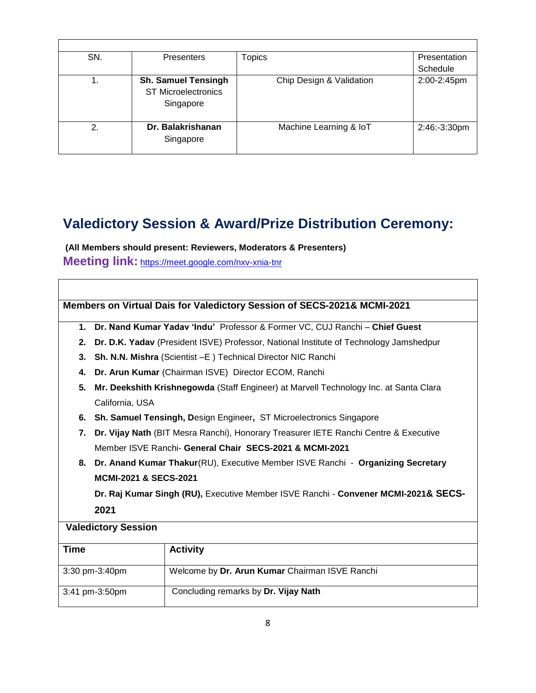| SN. | <b>Presenters</b>          | <b>Topics</b>            | Presentation |
|-----|----------------------------|--------------------------|--------------|
|     |                            |                          | Schedule     |
|     | <b>Sh. Samuel Tensingh</b> | Chip Design & Validation | 2:00-2:45pm  |
|     | <b>ST Microelectronics</b> |                          |              |
|     | Singapore                  |                          |              |
|     |                            |                          |              |
| 2.  | Dr. Balakrishanan          | Machine Learning & IoT   | 2:46:-3:30pm |
|     | Singapore                  |                          |              |
|     |                            |                          |              |

## **Valedictory Session & Award/Prize Distribution Ceremony:**

**(All Members should present: Reviewers, Moderators & Presenters)**

**Meeting link:** <https://meet.google.com/nxv-xnia-tnr>

|                |                                                                                      | <b>Members on Virtual Dais for Valedictory Session of SECS-2021&amp; MCMI-2021</b>     |  |  |
|----------------|--------------------------------------------------------------------------------------|----------------------------------------------------------------------------------------|--|--|
| $\mathbf{1}$ . |                                                                                      | Dr. Nand Kumar Yadav 'Indu' Professor & Former VC, CUJ Ranchi - Chief Guest            |  |  |
| 2.             |                                                                                      | Dr. D.K. Yadav (President ISVE) Professor, National Institute of Technology Jamshedpur |  |  |
| 3.             |                                                                                      | Sh. N.N. Mishra (Scientist - E) Technical Director NIC Ranchi                          |  |  |
| 4.             |                                                                                      | Dr. Arun Kumar (Chairman ISVE) Director ECOM, Ranchi                                   |  |  |
| 5.             |                                                                                      | Mr. Deekshith Krishnegowda (Staff Engineer) at Marvell Technology Inc. at Santa Clara  |  |  |
|                | California, USA                                                                      |                                                                                        |  |  |
|                |                                                                                      | 6. Sh. Samuel Tensingh, Design Engineer, ST Microelectronics Singapore                 |  |  |
| 7.             | Dr. Vijay Nath (BIT Mesra Ranchi), Honorary Treasurer IETE Ranchi Centre & Executive |                                                                                        |  |  |
|                | Member ISVE Ranchi- General Chair SECS-2021 & MCMI-2021                              |                                                                                        |  |  |
| 8.             | Dr. Anand Kumar Thakur(RU), Executive Member ISVE Ranchi - Organizing Secretary      |                                                                                        |  |  |
|                | <b>MCMI-2021 &amp; SECS-2021</b>                                                     |                                                                                        |  |  |
|                | Dr. Raj Kumar Singh (RU), Executive Member ISVE Ranchi - Convener MCMI-2021& SECS-   |                                                                                        |  |  |
|                | 2021                                                                                 |                                                                                        |  |  |
|                | <b>Valedictory Session</b>                                                           |                                                                                        |  |  |
| <b>Time</b>    |                                                                                      | <b>Activity</b>                                                                        |  |  |
|                | 3:30 pm-3:40pm                                                                       | Welcome by Dr. Arun Kumar Chairman ISVE Ranchi                                         |  |  |
|                | Concluding remarks by Dr. Vijay Nath<br>3:41 pm-3:50pm                               |                                                                                        |  |  |